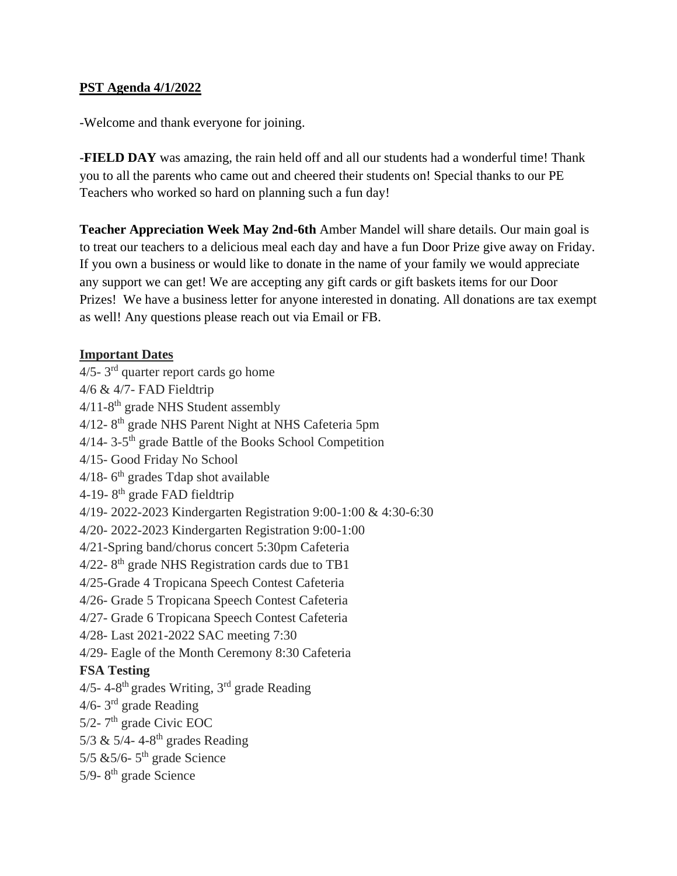## **PST Agenda 4/1/2022**

-Welcome and thank everyone for joining.

-**FIELD DAY** was amazing, the rain held off and all our students had a wonderful time! Thank you to all the parents who came out and cheered their students on! Special thanks to our PE Teachers who worked so hard on planning such a fun day!

**Teacher Appreciation Week May 2nd-6th** Amber Mandel will share details. Our main goal is to treat our teachers to a delicious meal each day and have a fun Door Prize give away on Friday. If you own a business or would like to donate in the name of your family we would appreciate any support we can get! We are accepting any gift cards or gift baskets items for our Door Prizes! We have a business letter for anyone interested in donating. All donations are tax exempt as well! Any questions please reach out via Email or FB.

## **Important Dates**

 $4/5$ -  $3<sup>rd</sup>$  quarter report cards go home 4/6 & 4/7- FAD Fieldtrip  $4/11-8$ <sup>th</sup> grade NHS Student assembly 4/12-8<sup>th</sup> grade NHS Parent Night at NHS Cafeteria 5pm 4/14-3-5<sup>th</sup> grade Battle of the Books School Competition 4/15- Good Friday No School  $4/18$ -  $6<sup>th</sup>$  grades Tdap shot available 4-19-8<sup>th</sup> grade FAD fieldtrip 4/19- 2022-2023 Kindergarten Registration 9:00-1:00 & 4:30-6:30 4/20- 2022-2023 Kindergarten Registration 9:00-1:00 4/21-Spring band/chorus concert 5:30pm Cafeteria  $4/22$ -  $8<sup>th</sup>$  grade NHS Registration cards due to TB1 4/25-Grade 4 Tropicana Speech Contest Cafeteria 4/26- Grade 5 Tropicana Speech Contest Cafeteria 4/27- Grade 6 Tropicana Speech Contest Cafeteria 4/28- Last 2021-2022 SAC meeting 7:30 4/29- Eagle of the Month Ceremony 8:30 Cafeteria **FSA Testing** 4/5- 4-8<sup>th</sup> grades Writing, 3<sup>rd</sup> grade Reading  $4/6$ - 3<sup>rd</sup> grade Reading  $5/2$ - 7<sup>th</sup> grade Civic EOC 5/3 & 5/4-4-8<sup>th</sup> grades Reading 5/5  $&5/6$ - 5<sup>th</sup> grade Science 5/9-8<sup>th</sup> grade Science